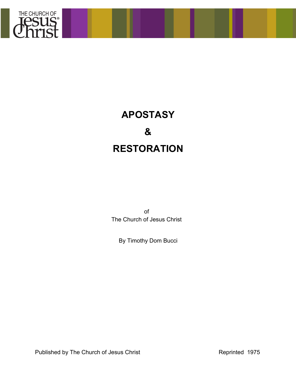

# **APOSTASY & RESTORATION**

of The Church of Jesus Christ

By Timothy Dom Bucci

Published by The Church of Jesus Christ **Reprinted 1975**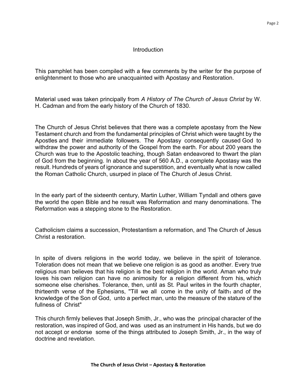#### Introduction

This pamphlet has been compiled with a few comments by the writer for the purpose of enlightenment to those who are unacquainted with Apostasy and Restoration.

Material used was taken principally from *A History of The Church of Jesus Christ* by W. H. Cadman and from the early history of the Church of 1830.

The Church of Jesus Christ believes that there was a complete apostasy from the New Testament church and from the fundamental principles of Christ which were taught by the Apostles and their immediate followers. The Apostasy consequently caused God to withdraw the power and authority of the Gospel from the earth. For about 200 years the Church was true to the Apostolic teaching, though Satan endeavored to thwart the plan of God from the beginning. In about the year of 560 A.D., a complete Apostasy was the result. Hundreds of years of ignorance and superstition, and eventually what is now called the Roman Catholic Church, usurped in place of The Church of Jesus Christ.

In the early part of the sixteenth century, Martin Luther, William Tyndall and others gave the world the open Bible and he result was Reformation and many denominations. The Reformation was a stepping stone to the Restoration.

Catholicism claims a succession, Protestantism a reformation, and The Church of Jesus Christ a restoration.

In spite of divers religions in the world today, we believe in the spirit of tolerance. Toleration does not mean that we believe one religion is as good as another. Every true religious man believes that his religion is the best religion in the world. Aman who truly loves his own religion can have no animosity for a religion different from his, which someone else cherishes. Tolerance, then, until as St. Paul writes in the fourth chapter, thirteenth verse of the Ephesians, "Till we all come in the unity of faith $<sub>1</sub>$  and of the</sub> knowledge of the Son of God, unto a perfect man, unto the measure of the stature of the fullness of Christ"

This church firmly believes that Joseph Smith, Jr., who was the principal character of the restoration, was inspired of God, and was used as an instrument in His hands, but we do not accept or endorse some of the things attributed to Joseph Smith, Jr., in the way of doctrine and revelation.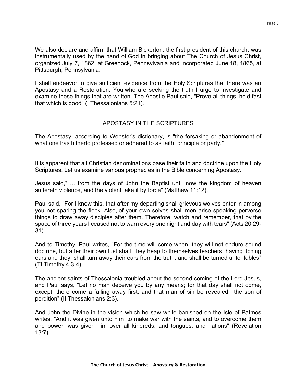We also declare and affirm that William Bickerton, the first president of this church, was instrumentally used by the hand of God in bringing about The Church of Jesus Christ, organized July 7, 1862, at Greenock, Pennsylvania and incorporated June 18, 1865, at Pittsburgh, Pennsylvania.

I shall endeavor to give sufficient evidence from the Holy Scriptures that there was an Apostasy and a Restoration. You who are seeking the truth I urge to investigate and examine these things that are written. The Apostle Paul said, "Prove all things, hold fast that which is good" (I Thessalonians 5:21).

## APOSTASY IN THE SCRIPTURES

The Apostasy, according to Webster's dictionary, is "the forsaking or abandonment of what one has hitherto professed or adhered to as faith, principle or party."

It is apparent that all Christian denominations base their faith and doctrine upon the Holy Scriptures. Let us examine various prophecies in the Bible concerning Apostasy.

Jesus said," ... from the days of John the Baptist until now the kingdom of heaven suffereth violence, and the violent take it by force" (Matthew 11:12).

Paul said, "For I know this, that after my departing shall grievous wolves enter in among you not sparing the flock. Also, of your own selves shall men arise speaking perverse things to draw away disciples after them. Therefore, watch and remember, that by the space of three years I ceased not to warn every one night and day with tears" (Acts 20:29- 31).

And to Timothy, Paul writes, "For the time will come when they will not endure sound doctrine, but after their own lust shall they heap to themselves teachers, having itching ears and they shall turn away their ears from the truth, and shall be turned unto fables" (TI Timothy 4:3-4).

The ancient saints of Thessalonia troubled about the second coming of the Lord Jesus, and Paul says, "Let no man deceive you by any means; for that day shall not come, except there come a falling away first, and that man of sin be revealed, the son of perdition" (II Thessalonians 2:3).

And John the Divine in the vision which he saw while banished on the Isle of Patmos writes, "And it was given unto him to make war with the saints, and to overcome them and power was given him over all kindreds, and tongues, and nations" (Revelation 13:7).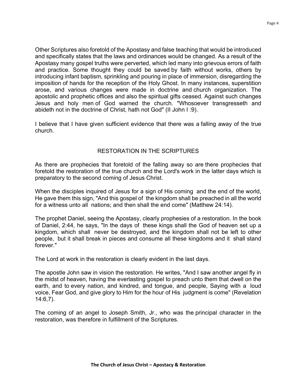Other Scriptures also foretold of the Apostasy and false teaching that would be introduced and specifically states that the laws and ordinances would be changed. As a result of the Apostasy many gospel truths were perverted, which led many into grievous errors of faith and practice. Some thought they could be saved by faith without works, others by introducing infant baptism, sprinkling and pouring in place of immersion, disregarding the imposition of hands for the reception of the Holy Ghost. In many instances, superstition arose, and various changes were made in doctrine and church organization. The apostolic and prophetic offices and also the spiritual gifts ceased. Against such changes Jesus and holy men of God warned the church. "Whosoever transgresseth and abideth not in the doctrine of Christ, hath not God" (II John I :9).

I believe that I have given sufficient evidence that there was a falling away of the true church.

### RESTORATION IN THE SCRIPTURES

As there are prophecies that foretold of the falling away so are there prophecies that foretold the restoration of the true church and the Lord's work in the latter days which is preparatory to the second coming of Jesus Christ.

When the disciples inquired of Jesus for a sign of His coming and the end of the world, He gave them this sign, "And this gospel of the kingdom shall be preached in all the world for a witness unto all nations; and then shall the end come" (Matthew 24:14).

The prophet Daniel, seeing the Apostasy, clearly prophesies of a restoration. In the book of Daniel, 2:44, he says, "In the days of these kings shall the God of heaven set up a kingdom, which shall never be destroyed, and the kingdom shall not be left to other people, but it shall break in pieces and consume all these kingdoms and it shall stand forever."

The Lord at work in the restoration is clearly evident in the last days.

The apostle John saw in vision the restoration. He writes, "And I saw another angel fly in the midst of heaven, having the everlasting gospel to preach unto them that dwell on the earth, and to every nation, and kindred, and tongue, and people, Saying with a loud voice, Fear God, and give glory to Him for the hour of His judgment is come" (Revelation 14:6,7).

The coming of an angel to Joseph Smith, Jr., who was the principal character in the restoration, was therefore in fulfillment of the Scriptures.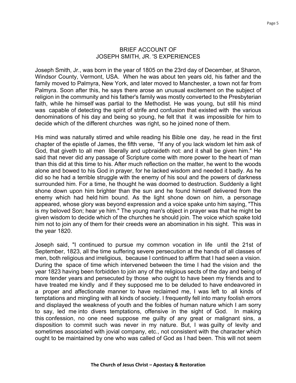#### BRIEF ACCOUNT OF JOSEPH SMITH, JR. 'S EXPERIENCES

Joseph Smith, Jr., was born in the year of 1805 on the 23rd day of December, at Sharon, Windsor County, Vermont, USA. When he was about ten years old, his father and the family moved to Palmyra, New York, and later moved to Manchester, a town not far from Palmyra. Soon after this, he says there arose an unusual excitement on the subject of religion in the community and his father's family was mostly converted to the Presbyterian faith, while he himself was partial to the Methodist. He was young, but still his mind was capable of detecting the spirit of strife and confusion that existed with the various denominations of his day and being so young, he felt that it was impossible for him to decide which of the different churches was right, so he joined none of them.

His mind was naturally stirred and while reading his Bible one day, he read in the first chapter of the epistle of James, the fifth verse, "If any of you lack wisdom let him ask of God, that giveth to all men liberally and upbraideth not: and it shall be given him." He said that never did any passage of Scripture come with more power to the heart of man than this did at this time to his. After much reflection on the matter, he went to the woods alone and bowed to his God in prayer, for he lacked wisdom and needed it badly. As he did so he had a terrible struggle with the enemy of his soul and the powers of darkness surrounded him. For a time, he thought he was doomed to destruction. Suddenly a light shone down upon him brighter than the sun and he found himself delivered from the enemy which had held him bound. As the light shone down on him, a personage appeared, whose glory was beyond expression and a voice spake unto him saying, "This is my beloved Son; hear ye him." The young man's object in prayer was that he might be given wisdom to decide which of the churches he should join. The voice which spake told him not to join any of them for their creeds were an abomination in his sight. This was in the year 1820.

Joseph said, "I continued to pursue my common vocation in life until the 21st of September, 1823, all the time suffering severe persecution at the hands of all classes of men, both religious and irreligious, because I continued to affirm that I had seen a vision. During the space of time which intervened between the time I had the vision and the year 1823 having been forbidden to join any of the religious sects of the day and being of more tender years and persecuted by those who ought to have been my friends and to have treated me kindly and if they supposed me to be deluded to have endeavored in a proper and affectionate manner to have reclaimed me, I was left to all kinds of temptations and mingling with all kinds of society. I frequently fell into many foolish errors and displayed the weakness of youth and the foibles of human nature which I am sorry to say, led me into divers temptations, offensive in the sight of God. In making this confession, no one need suppose me guilty of any great or malignant sins, a disposition to commit such was never in my nature. But, I was guilty of levity and sometimes associated with jovial company, etc., not consistent with the character which ought to be maintained by one who was called of God as I had been. This will not seem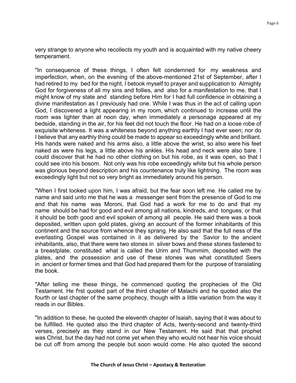very strange to anyone who recollects my youth and is acquainted with my native cheery temperament.

"In consequence of these things, I often felt condemned for my weakness and imperfection, when, on the evening of the above-mentioned 21st of September, after I had retired to my bed for the night, I betook myself to prayer and supplication to Almighty God for forgiveness of all my sins and follies, and also for a manifestation to me, that I might know of my state and standing before Him for I had full confidence in obtaining a divine manifestation as I previously had one. While I was thus in the act of calling upon God, I discovered a light appearing in my room, which continued to increase until the room was lighter than at noon day, when immediately a personage appeared at my bedside, standing in the air, for his feet did not touch the floor. He had on a loose robe of exquisite whiteness. It was a whiteness beyond anything earthly I had ever seen; nor do I believe that any earthly thing could be made to appear so exceedingly white and brilliant. His hands were naked and his arms also, a little above the wrist, so also were his feet naked as were his legs, a little above his ankles. His head and neck were also bare. I could discover that he had no other clothing on but his robe, as it was open, so that I could see into his bosom. Not only was his robe exceedingly white but his whole person was glorious beyond description and his countenance truly like lightning. The room was exceedingly light but not so very bright as immediately around his person.

"When I first looked upon him, I was afraid, but the fear soon left me. He called me by name and said unto me that he was a messenger sent from the presence of God to me and that his name was Moroni, that God had a work for me to do and that my name should be had for good and evil among all nations, kindreds, and tongues, or that it should be both good and evil spoken of among all people. He said there was a book deposited, written upon gold plates, giving an account of the former inhabitants of this continent and the source from whence they sprang. He also said that the full ness of the everlasting Gospel was contained in it as delivered by the Savior to the ancient inhabitants, also, that there were two stones in silver bows and these stones fastened to a breastplate, constituted what is called the Urirn and Thummim, deposited with the plates, and the possession and use of these stones was what constituted Seers in ancient or former times and that God had prepared them for the purpose of translating the book.

"After telling me these things, he commenced quoting the prophecies of the Old Testament. He first quoted part of the third chapter of Malachi and he quoted also the fourth or last chapter of the same prophecy, though with a little variation from the way it reads in our Bibles.

"In addition to these, he quoted the eleventh chapter of Isaiah, saying that it was about to be fulfilled. He quoted also the third chapter of Acts, twenty-second and twenty-third verses, precisely as they stand in our New Testament. He said that that prophet was Christ, but the day had not come yet when they who would not hear his voice should be cut off from among the people but soon would come. He also quoted the second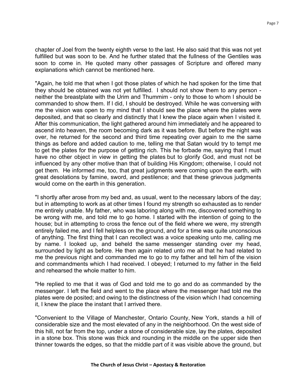chapter of Joel from the twenty eighth verse to the last. He also said that this was not yet fulfilled but was soon to be. And he further stated that the fullness of the Gentiles was soon to come in. He quoted many other passages of Scripture and offered many explanations which cannot be mentioned here.

"Again, he told me that when I got those plates of which he had spoken for the time that they should be obtained was not yet fulfilled. I should not show them to any person neither the breastplate with the Urim and Thummim - only to those to whom I should be commanded to show them. If l did, I should be destroyed. While he was conversing with me the vision was open to my mind that I should see the place where the plates were deposited, and that so clearly and distinctly that I knew the place again when I visited it. After this communication, the light gathered around him immediately and he appeared to ascend into heaven, the room becoming dark as it was before. But before the night was over, he returned for the second and third time repeating over again to me the same things as before and added caution to me, telling me that Satan would try to tempt me to get the plates for the purpose of getting rich. This he forbade me, saying that I must have no other object in view in getting the plates but to glorify God, and must not be influenced by any other motive than that of building His Kingdom; otherwise, I could not get them. He informed me, too, that great judgments were coming upon the earth, with great desolations by famine, sword, and pestilence; and that these grievous judgments would come on the earth in this generation.

"I shortly after arose from my bed and, as usual, went to the necessary labors of the day; but in attempting to work as at other times I found my strength so exhausted as to render me entirely unable. My father, who was laboring along with me, discovered something to be wrong with me, and told me to go home. I started with the intention of going to the house; but in attempting to cross the fence out of the field where we were, my strength entirely failed me, and I fell helpless on the ground, and for a time was quite unconscious of anything. The first thing that I can recollect was a voice speaking unto me, calling me by name. I looked up, and beheld the same messenger standing over my head, surrounded by light as before. He then again related unto me all that he had related to me the previous night and commanded me to go to my father and tell him of the vision and commandments which I had received. I obeyed; I returned to my father in the field and rehearsed the whole matter to him.

"He replied to me that it was of God and told me to go and do as commanded by the messenger. I left the field and went to the place where the messenger had told me the plates were de posited; and owing to the distinctness of the vision which I had concerning it, I knew the place the instant that I arrived there.

"Convenient to the Village of Manchester, Ontario County, New York, stands a hill of considerable size and the most elevated of any in the neighborhood. On the west side of this hill, not far from the top, under a stone of considerable size, lay the plates, deposited in a stone box. This stone was thick and rounding in the middle on the upper side then thinner towards the edges, so that the middle part of it was visible above the ground, but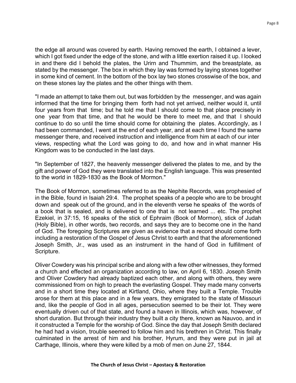the edge all around was covered by earth. Having removed the earth, I obtained a lever, which I got fixed under the edge of the stone, and with a little exertion raised it up. I looked in and there did I behold the plates, the Urirn and Thummim, and the breastplate, as stated by the messenger. The box in which they lay was formed by laying stones together in some kind of cement. In the bottom of the box lay two stones crosswise of the box, and on these stones lay the plates and the other things with them.

"I made an attempt to take them out, but was forbidden by the messenger, and was again informed that the time for bringing them forth had not yet arrived, neither would it, until four years from that time; but he told me that I should come to that place precisely in one year from that time, and that he would be there to meet me, and that I should continue to do so until the time should come for obtaining the plates. Accordingly, as I had been commanded, I went at the end of each year, and at each time I found the same messenger there, and received instruction and intelligence from him at each of our inter views, respecting what the Lord was going to do, and how and in what manner His Kingdom was to be conducted in the last days.

"In September of 1827, the heavenly messenger delivered the plates to me, and by the gift and power of God they were translated into the English language. This was presented to the world in 1829-1830 as the Book of Mormon."

The Book of Mormon, sometimes referred to as the Nephite Records, was prophesied of in the Bible, found in Isaiah 29:4. The prophet speaks of a people who are to be brought down and speak out of the ground, and in the eleventh verse he speaks of the words of a book that is sealed, and is delivered to one that is not learned ... etc. The prophet Ezekiel, in 37:15, 16 speaks of the stick of Ephraim (Book of Mormon), stick of Judah (Holy Bible), in other words, two records, and says they are to become one in the hand of God. The foregoing Scriptures are given as evidence that a record should come forth including a restoration of the Gospel of Jesus Christ to earth and that the aforementioned Joseph Smith, Jr., was used as an instrument in the hand of God in fulfillment of Scripture.

Oliver Cowdery was his principal scribe and along with a few other witnesses, they formed a church and effected an organization according to law, on April 6, 1830. Joseph Smith and Oliver Cowdery had already baptized each other, and along with others, they were commissioned from on high to preach the everlasting Gospel. They made many converts and in a short time they located at Kirtland, Ohio, where they built a Temple. Trouble arose for them at this place and in a few years, they emigrated to the state of Missouri and, like the people of God in all ages, persecution seemed to be their lot. They were eventually driven out of that state, and found a haven in Illinois, which was, however, of short duration. But through their industry they built a city there, known as Nauvoo, and in it constructed a Temple for the worship of God. Since the day that Joseph Smith declared he had had a vision, trouble seemed to follow him and his brethren in Christ. This finally culminated in the arrest of him and his brother, Hyrum, and they were put in jail at Carthage, Illinois, where they were killed by a mob of men on June 27, 1844.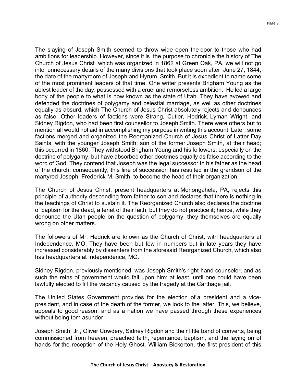The slaying of Joseph Smith seemed to throw wide open the door to those who had ambitions for leadership. However, since it is the purpose to chronicle the history of The Church of Jesus Christ which was organized in 1862 at Green Oak, PA, we will not go into unnecessary details of the many divisions that took place soon after June 27, 1844, the date of the martyrdom of Joseph and Hyrum Smith. But it is expedient to name some of the most prominent leaders of that time. One writer presents Brigham Young as the ablest leader of the day, possessed with a cruel and remorseless ambition. He led a large body of the people to what is now known as the state of Utah. They have avowed and defended the doctrines of polygamy and celestial marriage, as well as other doctrines equally as absurd, which The Church of Jesus Christ absolutely rejects and denounces as false. Other leaders of factions were Strang, Cutler, Hedrick, Lyman Wright, and Sidney Rigdon, who had been first counsellor to Joseph Smith. There were others but to mention all would not aid in accomplishing my purpose in writing this account. Later, some factions merged and organized the Reorganized Church of Jesus Christ of Latter Day Saints, with the younger Joseph Smith, son of the former Joseph Smith, at their head; this occurred in 1860. They withstood Brigham Young and his followers, especially on the doctrine of polygamy, but have absorbed other doctrines equally as false according to the word of God. They contend that Joseph was the legal successor to his father as the head of the church; consequently, this line of succession has resulted in the grandson of the martyred Joseph, Frederick M. Smith, to become the head of their organization.

The Church of Jesus Christ, present headquarters at Monongahela, PA, rejects this principle of authority descending from father to son and declares that there is nothing in the teachings of Christ to sustain it. The Reorganized Church also declares the doctrine of baptism for the dead, a tenet of their faith, but they do not practice it; hence, while they denounce the Utah people on the question of polygamy, they themselves are equally wrong on other matters.

The followers of Mr. Hedrick are known as the Church of Christ, with headquarters at Independence, MO. They have been but few in numbers but in late years they have increased considerably by dissenters from the aforesaid Reorganized Church, which also has headquarters at Independence, MO.

Sidney Rigdon, previously mentioned, was Joseph Smith's right-hand counselor, and as such the reins of government would fall upon him; at least, until one could have been lawfully elected to fill the vacancy caused by the tragedy at the Carthage jail.

The United States Government provides for the election of a president and a vicepresident, and in case of the death of the former, we look to the latter. This, we believe, appeals to good reason, and as a nation we have passed through these experiences without being tom asunder.

Joseph Smith, Jr., Oliver Cowdery, Sidney Rigdon and their little band of converts, being commissioned from heaven, preached faith, repentance, baptism, and the laying on of hands for the reception of the Holy Ghost. William Bickerton, the first president of this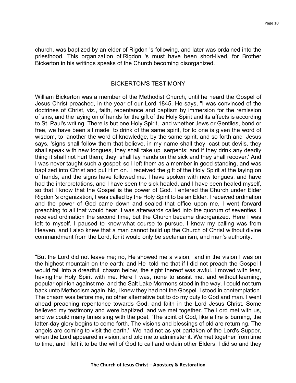church, was baptized by an elder of Rigdon 's following, and later was ordained into the priesthood. This organization of Rigdon 's must have been short-lived, for Brother Bickerton in his writings speaks of the Church becoming disorganized.

#### BICKERTON'S TESTIMONY

William Bickerton was a member of the Methodist Church, until he heard the Gospel of Jesus Christ preached, in the year of our Lord 1845. He says, "I was convinced of the doctrines of Christ, viz., faith, repentance and baptism by immersion for the remission of sins, and the laying on of hands for the gift of the Holy Spirit and its affects is according to St. Paul's writing. There is but one Holy Spirit, and whether Jews or Gentiles, bond or free, we have been all made to drink of the same spirit, for to one is given the word of wisdom, to another the word of knowledge, by the same spirit, and so forth and Jesus says, 'signs shall follow them that believe, in my name shall they cast out devils, they shall speak with new tongues, they shall take up serpents; and if they drink any deadly thing it shall not hurt them; they shall lay hands on the sick and they shall recover.' And I was never taught such a gospel; so I left them as a member in good standing, and was baptized into Christ and put Him on. I received the gift of the Holy Spirit at the laying on of hands, and the signs have followed me. I have spoken with new tongues, and have had the interpretations, and I have seen the sick healed, and I have been healed myself, so that I know that the Gospel is the power of God. I entered the Church under Elder Rigdon 's organization, I was called by the Holy Spirit to be an Elder. I received ordination and the power of God came down and sealed that office upon me, I went forward preaching to all that would hear. I was afterwards called into the quorum of seventies. I received ordination the second time, but the Church became disorganized. Here I was left to myself. I paused to know what course to pursue. I knew my calling was from Heaven, and I also knew that a man cannot build up the Church of Christ without divine commandment from the Lord, for it would only be sectarian ism, and man's authority.

"But the Lord did not leave me; no, He showed me a vision, and in the vision I was on the highest mountain on the earth; and He told me that if l did not preach the Gospel I would fall into a dreadful chasm below, the sight thereof was awful. I moved with fear, having the Holy Spirit with me. Here I was, none to assist me, and without learning, popular opinion against me, and the Salt Lake Mormons stood in the way. I could not turn back unto Methodism again. No, I knew they had not the Gospel. I stood in contemplation. The chasm was before me, no other alternative but to do my duty to God and man. I went ahead preaching repentance towards God, and faith in the Lord Jesus Christ. Some believed my testimony and were baptized, and we met together. The Lord met with us, and we could many times sing with the poet, 'The spirit of God, like a fire is burning, the latter-day glory begins to come forth. The visions and blessings of old are returning. The angels are coming to visit the earth.' We had not as yet partaken of the Lord's Supper, when the Lord appeared in vision, and told me to administer it. We met together from time to time, and I felt it to be the will of God to call and ordain other Elders. I did so and they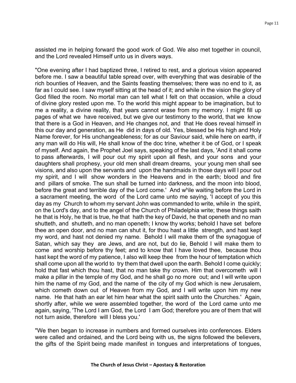assisted me in helping forward the good work of God. We also met together in council, and the Lord revealed Himself unto us in divers ways.

"One evening after I had baptized three, I retired to rest, and a glorious vision appeared before me. I saw a beautiful table spread over, with everything that was desirable of the rich bounties of Heaven, and the Saints feasting themselves; there was no end to it, as far as I could see. I saw myself sitting at the head of it; and while in the vision the glory of God filled the room. No mortal man can tell what I felt on that occasion, while a cloud of divine glory rested upon me. To the world this might appear to be imagination, but to me a reality, a divine reality, that years cannot erase from my memory. I might fill up pages of what we have received, but we give our testimony to the world, that we know that there is a God in Heaven, and He changes not, and that He does reveal himself in this our day and generation, as He did in days of old. Yes, blessed be His high and Holy Name forever, for His unchangeableness; for as our Saviour said, while here on earth, if any man will do His will, He shall know of the doc trine, whether it be of God, or I speak of myself. And again, the Prophet Joel says, speaking of the last days, 'And it shall come to pass afterwards, I will pour out my spirit upon all flesh, and your sons and your daughters shall prophesy, your old men shall dream dreams, your young men shall see visions, and also upon the servants and upon the handmaids in those days will I pour out my spirit, and I will show wonders in the Heavens and in the earth; blood and fire and pillars of smoke. The sun shall be turned into darkness, and the moon into blood, before the great and terrible day of the Lord come.' And  $w^h$ ile waiting before the Lord in a sacrament meeting, the word of the Lord came unto me saying, 'I accept of you this day as my Church to whom my servant John was commanded to write, while in the spirit, on the Lord's day, and to the angel of the Church of Philadelphia write; these things saith he that is Holy, he that is true, he that hath the key of David, he that openeth and no man shutteth, and shutteth, and no man openeth; I know thy works; behold I have set before thee an open door, and no man can shut it, for thou hast a little strength, and hast kept my word, and hast not denied my name. Behold I will make them of the synagogue of Satan, which say they are Jews, and are not, but do lie, Behold I will make them to come and worship before thy feet; and to know that I have loved thee, because thou hast kept the word of my patience, I also will keep thee from the hour of temptation which shall come upon all the world to try them that dwell upon the earth. Behold I come quickly; hold that fast which thou hast, that no man take thy crown. Him that overcometh will I make a pillar in the temple of my God, and he shall go no more out; and I will write upon him the name of my God, and the name of the city of my God which is new Jerusalem, which cometh down out of Heaven from my God, and I will write upon him my new name. He that hath an ear let him hear what the spirit saith unto the Churches.' Again, shortly after, while we were assembled together, the word of the Lord came unto me again, saying, 'The Lord I am God, the Lord I am God; therefore you are of them that will not turn aside, therefore will I bless you.'

"We then began to increase in numbers and formed ourselves into conferences. Elders were called and ordained, and the Lord being with us, the signs followed the believers, the gifts of the Spirit being made manifest in tongues and interpretations of tongues,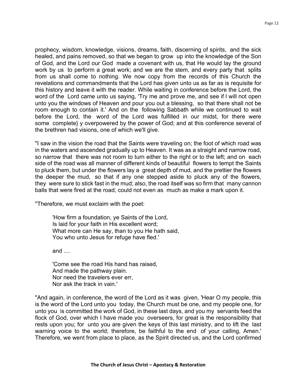prophecy, wisdom, knowledge, visions, dreams, faith, discerning of spirits, and the sick healed, and pains removed, so that we began to grow up into the knowledge of the Son of God, and the Lord our God made a covenant with us, that He would lay the ground work by us to perform a great work; and we are the stem, and every party that splits from us shall come to nothing. We now copy from the records of this Church the revelations and commandments that the Lord has given unto us as far as is requisite for this history and leave it with the reader. While waiting in conference before the Lord, the word of the Lord came unto us saying, 'Try me and prove me, and see if l will not open unto you the windows of Heaven and pour you out a blessing, so that there shall not be room enough to contain it.' And on the following Sabbath while we continued to wait before the Lord, the word of the Lord was fulfilled in our midst, for there were some complete} y overpowered by the power of God; and at this conference several of the brethren had visions, one of which we'll give.

"I saw in the vision the road that the Saints were traveling on; the foot of which road was in the waters and ascended gradually up to Heaven. It was as a straight and narrow road, so narrow that there was not room to turn either to the right or to the left; and on each side of the road was all manner of different kinds of beautiful flowers to tempt the Saints to pluck them, but under the flowers lay a great depth of mud, and the prettier the flowers the deeper the mud, so that if any one stepped aside to pluck any of the flowers, they were sure to stick fast in the mud; also, the road itself was so firm that many cannon balls that were fired at the road, could not even as much as make a mark upon it.

''Therefore, we must exclaim with the poet:

'How firm a foundation, ye Saints of the Lord, Is laid for your faith in His excellent word; What more can He say, than to you He hath said, You who unto Jesus for refuge have fled.'

and  $\ldots$ 

'Come see the road His hand has raised, And made the pathway plain. Nor need the travelers ever err, Nor ask the track in vain.'

"And again, in conference, the word of the Lord as it was given, 'Hear O my people, this is the word of the Lord unto you today, the Church must be one, and my people one, for unto you is committed the work of God, in these last days, and you my servants feed the flock of God, over which I have made you overseers, for great is the responsibility that rests upon you; for unto you are given the keys of this last ministry, and to lift the last warning voice to the world; therefore, be faithful to the end of your calling, Amen.' Therefore, we went from place to place, as the Spirit directed us, and the Lord confirmed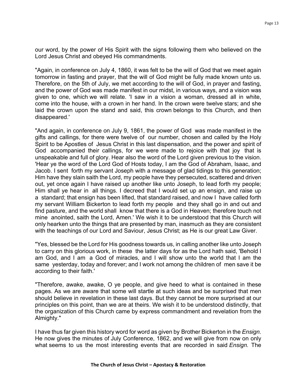our word, by the power of His Spirit with the signs following them who believed on the Lord Jesus Christ and obeyed His commandments.

"Again, in conference on July 4, 1860, it was felt to be the will of God that we meet again tomorrow in fasting and prayer, that the will of God might be fully made known unto us. Therefore, on the 5th of July, we met according to the will of God, in prayer and fasting, and the power of God was made manifest in our midst, in various ways, and a vision was given to one, which we will relate. 'I saw in a vision a woman, dressed all in white, come into the house, with a crown in her hand. In the crown were twelve stars; and she laid the crown upon the stand and said, this crown belongs to this Church, and then disappeared.'

"And again, in conference on July 9, 1861, the power of God was made manifest in the gifts and callings, for there were twelve of our number, chosen and called by the Holy Spirit to be Apostles of Jesus Christ in this last dispensation, and the power and spirit of God accompanied their callings, for we were made to rejoice with that joy that is unspeakable and full of glory. Hear also the word of the Lord given previous to the vision. 'Hear ye the word of the Lord God of Hosts today, I am the God of Abraham, Isaac, and Jacob. I sent forth my servant Joseph with a message of glad tidings to this generation; Him have they slain saith the Lord, my people have they persecuted, scattered and driven out, yet once again I have raised up another like unto Joseph, to lead forth my people; Him shall ye hear in all things. I decreed that I would set up an ensign, and raise up a standard; that ensign has been lifted, that standard raised, and now I have called forth my servant William Bickerton to lead forth my people and they shall go in and out and find pasture, and the world shall know that there is a God in Heaven; therefore touch not mine anointed, saith the Lord, Amen.' We wish it to be understood that this Church will only hearken unto the things that are presented by man, inasmuch as they are consistent with the teachings of our Lord and Saviour, Jesus Christ; as He is our great Law Giver.

"Yes, blessed be the Lord for His goodness towards us, in calling another like unto Joseph to carry on this glorious work, in these the latter days for as the Lord hath said, 'Behold I am God, and I am a God of miracles, and I will show unto the world that I am the same yesterday, today and forever; and I work not among the children of men save it be according to their faith.'

"Therefore, awake, awake, O ye people, and give heed to what is contained in these pages. As we are aware that some will startle at such ideas and be surprised that men should believe in revelation in these last days. But they cannot be more surprised at our principles on this point, than we are at theirs. We wish it to be understood distinctly, that the organization of this Church came by express commandment and revelation from the Almighty."

I have thus far given this history word for word as given by Brother Bickerton in the *Ensign.*  He now gives the minutes of July Conference, 1862, and we will give from now on only what seems to us the most interesting events that are recorded in said *Ensign.* The